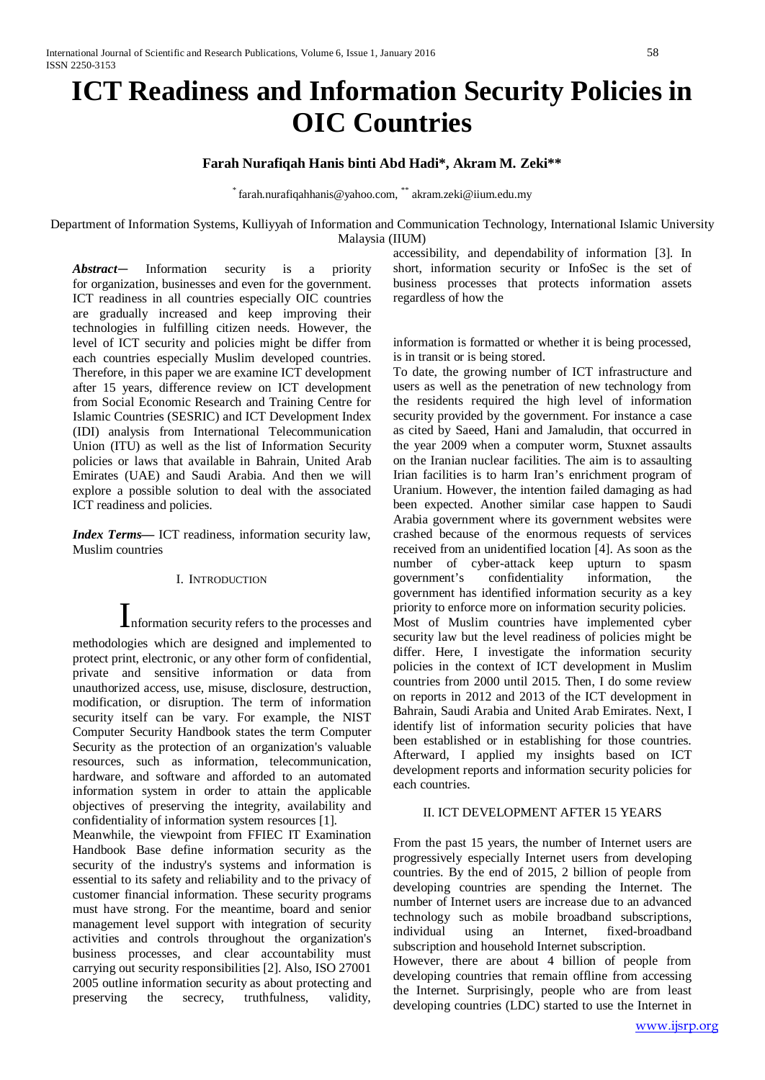# **ICT Readiness and Information Security Policies in OIC Countries**

# **Farah Nurafiqah Hanis binti Abd Hadi\*, Akram M. Zeki\*\***

\* farah.nurafiqahhanis@yahoo.com, \*\* akram.zeki@iium.edu.my

Department of Information Systems, Kulliyyah of Information and Communication Technology, International Islamic University Malaysia (IIUM)

*Abstract*— Information security is a priority for organization, businesses and even for the government. ICT readiness in all countries especially OIC countries are gradually increased and keep improving their technologies in fulfilling citizen needs. However, the level of ICT security and policies might be differ from each countries especially Muslim developed countries. Therefore, in this paper we are examine ICT development after 15 years, difference review on ICT development from Social Economic Research and Training Centre for Islamic Countries (SESRIC) and ICT Development Index (IDI) analysis from International Telecommunication Union (ITU) as well as the list of Information Security policies or laws that available in Bahrain, United Arab Emirates (UAE) and Saudi Arabia. And then we will explore a possible solution to deal with the associated ICT readiness and policies.

*Index Terms***—** ICT readiness, information security law, Muslim countries

## I. INTRODUCTION

Information security refers to the processes and methodologies which are designed and implemented to protect print, electronic, or any other form of confidential, private and sensitive information or data from unauthorized access, use, misuse, disclosure, destruction, modification, or disruption. The term of information security itself can be vary. For example, the NIST Computer Security Handbook states the term Computer Security as the protection of an organization's valuable resources, such as information, telecommunication, hardware, and software and afforded to an automated information system in order to attain the applicable objectives of preserving the integrity, availability and confidentiality of information system resources [1].

Meanwhile, the viewpoint from FFIEC IT Examination Handbook Base define information security as the security of the industry's systems and information is essential to its safety and reliability and to the privacy of customer financial information. These security programs must have strong. For the meantime, board and senior management level support with integration of security activities and controls throughout the organization's business processes, and clear accountability must carrying out security responsibilities [2]. Also, ISO 27001 2005 outline information security as about protecting and preserving the secrecy, truthfulness, validity,

accessibility, and dependability of information [3]. In short, information security or InfoSec is the set of business processes that protects information assets regardless of how the

information is formatted or whether it is being processed, is in transit or is being stored.

To date, the growing number of ICT infrastructure and users as well as the penetration of new technology from the residents required the high level of information security provided by the government. For instance a case as cited by Saeed, Hani and Jamaludin, that occurred in the year 2009 when a computer worm, Stuxnet assaults on the Iranian nuclear facilities. The aim is to assaulting Irian facilities is to harm Iran's enrichment program of Uranium. However, the intention failed damaging as had been expected. Another similar case happen to Saudi Arabia government where its government websites were crashed because of the enormous requests of services received from an unidentified location [4]. As soon as the number of cyber-attack keep upturn to spasm government's confidentiality information, the government has identified information security as a key priority to enforce more on information security policies. Most of Muslim countries have implemented cyber security law but the level readiness of policies might be differ. Here, I investigate the information security policies in the context of ICT development in Muslim countries from 2000 until 2015. Then, I do some review on reports in 2012 and 2013 of the ICT development in Bahrain, Saudi Arabia and United Arab Emirates. Next, I identify list of information security policies that have been established or in establishing for those countries. Afterward, I applied my insights based on ICT development reports and information security policies for each countries.

## II. ICT DEVELOPMENT AFTER 15 YEARS

From the past 15 years, the number of Internet users are progressively especially Internet users from developing countries. By the end of 2015, 2 billion of people from developing countries are spending the Internet. The number of Internet users are increase due to an advanced technology such as mobile broadband subscriptions, individual using an Internet, fixed-broadband subscription and household Internet subscription. However, there are about 4 billion of people from

developing countries that remain offline from accessing the Internet. Surprisingly, people who are from least developing countries (LDC) started to use the Internet in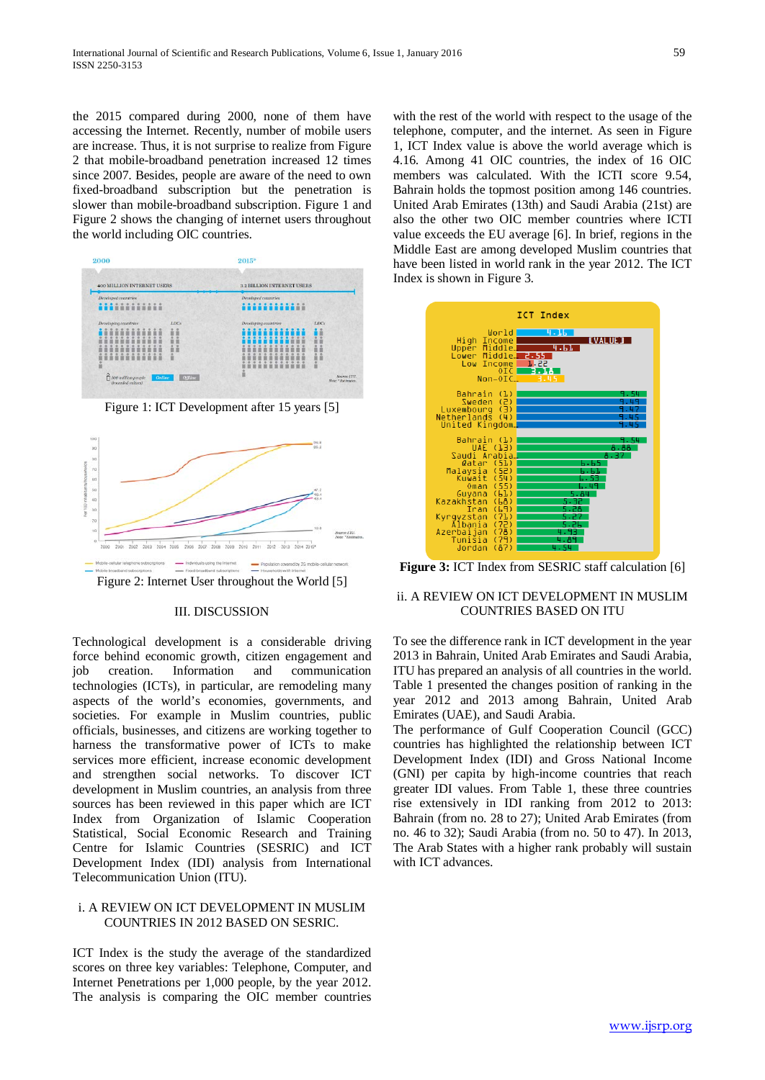the 2015 compared during 2000, none of them have accessing the Internet. Recently, number of mobile users are increase. Thus, it is not surprise to realize from Figure 2 that mobile-broadband penetration increased 12 times since 2007. Besides, people are aware of the need to own fixed-broadband subscription but the penetration is slower than mobile-broadband subscription. Figure 1 and Figure 2 shows the changing of internet users throughout the world including OIC countries.



Figure 1: ICT Development after 15 years [5]



## III. DISCUSSION

Technological development is a considerable driving force behind economic growth, citizen engagement and job creation. Information and communication technologies (ICTs), in particular, are remodeling many aspects of the world's economies, governments, and societies. For example in Muslim countries, public officials, businesses, and citizens are working together to harness the transformative power of ICTs to make services more efficient, increase economic development and strengthen social networks. To discover ICT development in Muslim countries, an analysis from three sources has been reviewed in this paper which are ICT Index from Organization of Islamic Cooperation Statistical, Social Economic Research and Training Centre for Islamic Countries (SESRIC) and ICT Development Index (IDI) analysis from International Telecommunication Union (ITU).

# i. A REVIEW ON ICT DEVELOPMENT IN MUSLIM COUNTRIES IN 2012 BASED ON SESRIC.

ICT Index is the study the average of the standardized scores on three key variables: Telephone, Computer, and Internet Penetrations per 1,000 people, by the year 2012. The analysis is comparing the OIC member countries

with the rest of the world with respect to the usage of the telephone, computer, and the internet. As seen in Figure 1, ICT Index value is above the world average which is 4.16. Among 41 OIC countries, the index of 16 OIC members was calculated. With the ICTI score 9.54, Bahrain holds the topmost position among 146 countries. United Arab Emirates (13th) and Saudi Arabia (21st) are also the other two OIC member countries where ICTI value exceeds the EU average [6]. In brief, regions in the Middle East are among developed Muslim countries that have been listed in world rank in the year 2012. The ICT Index is shown in Figure 3.



**Figure 3:** ICT Index from SESRIC staff calculation [6]

# ii. A REVIEW ON ICT DEVELOPMENT IN MUSLIM COUNTRIES BASED ON ITU

To see the difference rank in ICT development in the year 2013 in Bahrain, United Arab Emirates and Saudi Arabia, ITU has prepared an analysis of all countries in the world. Table 1 presented the changes position of ranking in the year 2012 and 2013 among Bahrain, United Arab Emirates (UAE), and Saudi Arabia.

The performance of Gulf Cooperation Council (GCC) countries has highlighted the relationship between ICT Development Index (IDI) and Gross National Income (GNI) per capita by high-income countries that reach greater IDI values. From Table 1, these three countries rise extensively in IDI ranking from 2012 to 2013: Bahrain (from no. 28 to 27); United Arab Emirates (from no. 46 to 32); Saudi Arabia (from no. 50 to 47). In 2013, The Arab States with a higher rank probably will sustain with ICT advances.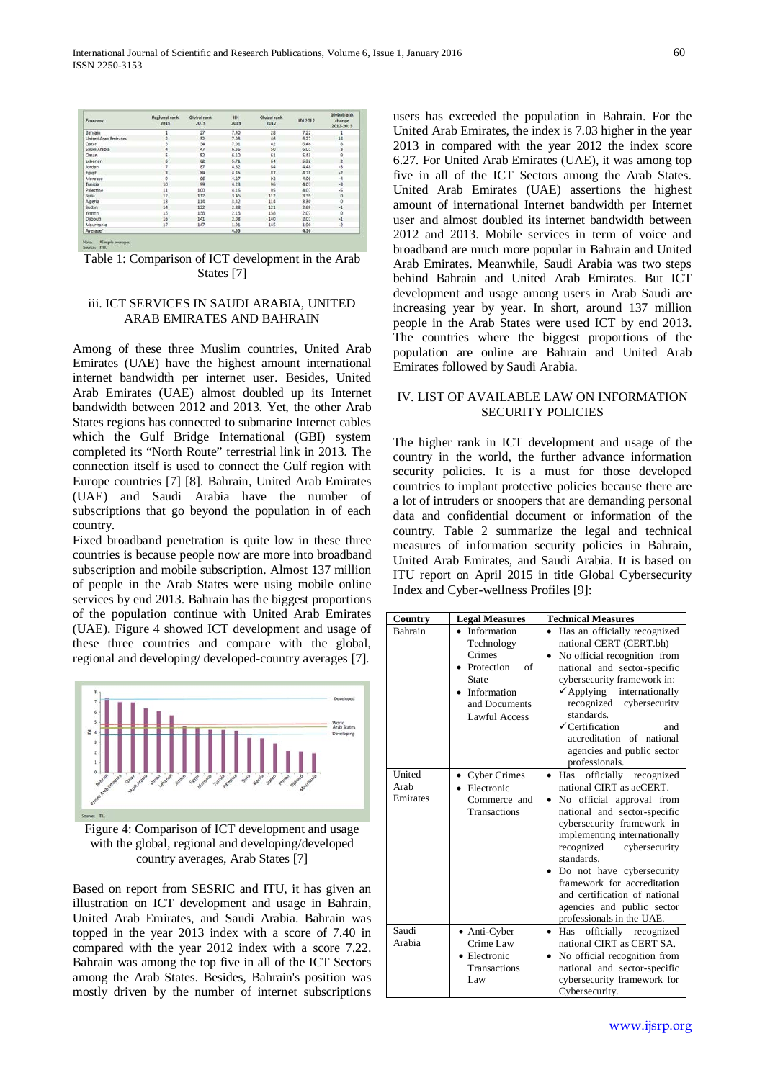| Economy              | <b>Regional rank</b><br>2013 | Global rank<br>2013<br>27 | IDE<br>2013 | <b>Global rank</b><br>2012 | IDI 2012 | Global rank<br>change<br>2012-2013<br>1 |
|----------------------|------------------------------|---------------------------|-------------|----------------------------|----------|-----------------------------------------|
| Bahrain              |                              |                           | 7.40        | 28                         | 7.22     |                                         |
| United Arab Emirates |                              | 32                        | 7.03        | 46                         | 6.27     | 14                                      |
| <b>Qatar</b>         |                              | 34                        | 7.01        | 42                         | 6.46     |                                         |
| Saudi Arabia         | 4                            | 47                        | 6.36        | 50                         | 6.01     | $\frac{8}{3}$                           |
| Oman                 | 5                            | 52                        | 6.10        | 61                         | 5.43     | 9                                       |
| Lebanon              | 6                            | 62                        | 5.71        | 64                         | 5.32     | $\overline{a}$                          |
| Jordan               | 7                            | 87                        | 4.62        | 84                         | 4.48     | 3                                       |
| Egypt                | 8                            | 89                        | 4.45        | 87                         | 4.28     | $-2$                                    |
| Morocco              | 9                            | 96                        | 4.27        | 92                         | 4.09     |                                         |
| Tunisia              | 10                           | 99                        | 4.23        | 96                         | 4.07     | $-3$                                    |
| Palestine            | 11                           | 100                       | 4.16        | 95                         | 4.07     | $\cdot$ 5                               |
| Syria                | 12                           | 112                       | 3.46        | 112                        | 3.39     | o                                       |
| Algeria              | 13                           | 114                       | 3.42        | 114                        | 3.30     | ö                                       |
| Sudan                | 14                           | 122                       | 2.88        | 121                        | 2.69     | $^{\rm -1}$                             |
| Yemen                | 15                           | 138                       | 2.18        | 138                        | 2.07     | ó                                       |
| Dsibouti             | 16                           | 141                       | 2.08        | 140                        | 2.01     | $-1$                                    |
| Mauritania           | 17                           | 147                       | 191         | 145                        | 1.90     | $\frac{1}{2}$                           |
| Average*             |                              |                           | 4.55        |                            | 4.30     |                                         |

Table 1: Comparison of ICT development in the Arab States [7]

# iii. ICT SERVICES IN SAUDI ARABIA, UNITED ARAB EMIRATES AND BAHRAIN

Among of these three Muslim countries, United Arab Emirates (UAE) have the highest amount international internet bandwidth per internet user. Besides, United Arab Emirates (UAE) almost doubled up its Internet bandwidth between 2012 and 2013. Yet, the other Arab States regions has connected to submarine Internet cables which the Gulf Bridge International (GBI) system completed its "North Route" terrestrial link in 2013. The connection itself is used to connect the Gulf region with Europe countries [7] [8]. Bahrain, United Arab Emirates (UAE) and Saudi Arabia have the number of subscriptions that go beyond the population in of each country.

Fixed broadband penetration is quite low in these three countries is because people now are more into broadband subscription and mobile subscription. Almost 137 million of people in the Arab States were using mobile online services by end 2013. Bahrain has the biggest proportions of the population continue with United Arab Emirates (UAE). Figure 4 showed ICT development and usage of these three countries and compare with the global, regional and developing/ developed-country averages [7].



Figure 4: Comparison of ICT development and usage with the global, regional and developing/developed country averages, Arab States [7]

Based on report from SESRIC and ITU, it has given an illustration on ICT development and usage in Bahrain, United Arab Emirates, and Saudi Arabia. Bahrain was topped in the year 2013 index with a score of 7.40 in compared with the year 2012 index with a score 7.22. Bahrain was among the top five in all of the ICT Sectors among the Arab States. Besides, Bahrain's position was mostly driven by the number of internet subscriptions

users has exceeded the population in Bahrain. For the United Arab Emirates, the index is 7.03 higher in the year 2013 in compared with the year 2012 the index score 6.27. For United Arab Emirates (UAE), it was among top five in all of the ICT Sectors among the Arab States. United Arab Emirates (UAE) assertions the highest amount of international Internet bandwidth per Internet user and almost doubled its internet bandwidth between 2012 and 2013. Mobile services in term of voice and broadband are much more popular in Bahrain and United Arab Emirates. Meanwhile, Saudi Arabia was two steps behind Bahrain and United Arab Emirates. But ICT development and usage among users in Arab Saudi are increasing year by year. In short, around 137 million people in the Arab States were used ICT by end 2013. The countries where the biggest proportions of the population are online are Bahrain and United Arab Emirates followed by Saudi Arabia.

#### IV. LIST OF AVAILABLE LAW ON INFORMATION SECURITY POLICIES

The higher rank in ICT development and usage of the country in the world, the further advance information security policies. It is a must for those developed countries to implant protective policies because there are a lot of intruders or snoopers that are demanding personal data and confidential document or information of the country. Table 2 summarize the legal and technical measures of information security policies in Bahrain, United Arab Emirates, and Saudi Arabia. It is based on ITU report on April 2015 in title Global Cybersecurity Index and Cyber-wellness Profiles [9]:

| Country                    | <b>Legal Measures</b>                                                                                                    | <b>Technical Measures</b>                                                                                                                                                                                                                                                                                                                                                                                  |  |  |  |  |
|----------------------------|--------------------------------------------------------------------------------------------------------------------------|------------------------------------------------------------------------------------------------------------------------------------------------------------------------------------------------------------------------------------------------------------------------------------------------------------------------------------------------------------------------------------------------------------|--|--|--|--|
| Bahrain                    | Information<br>Technology<br>Crimes<br>Protection<br>of<br><b>State</b><br>Information<br>and Documents<br>Lawful Access | Has an officially recognized<br>national CERT (CERT.bh)<br>No official recognition from<br>national and sector-specific<br>cybersecurity framework in:<br>$\checkmark$ Applying internationally<br>recognized<br>cybersecurity<br>standards.<br>$\checkmark$ Certification<br>and<br>accreditation of<br>national<br>agencies and public sector<br>professionals.                                          |  |  |  |  |
| United<br>Arab<br>Emirates | • Cyber Crimes<br>Electronic<br>Commerce and<br>Transactions                                                             | officially recognized<br>Has<br>$\bullet$<br>national CIRT as aeCERT.<br>No official approval from<br>٠<br>national and sector-specific<br>cybersecurity framework in<br>implementing internationally<br>recognized<br>cybersecurity<br>standards.<br>Do not have cybersecurity<br>framework for accreditation<br>and certification of national<br>agencies and public sector<br>professionals in the UAE. |  |  |  |  |
| Saudi<br>Arabia            | • Anti-Cyber<br>Crime Law<br>• Electronic<br>Transactions<br>Law                                                         | officially recognized<br>Has<br>٠<br>national CIRT as CERT SA.<br>No official recognition from<br>٠<br>national and sector-specific<br>cybersecurity framework for<br>Cybersecurity.                                                                                                                                                                                                                       |  |  |  |  |